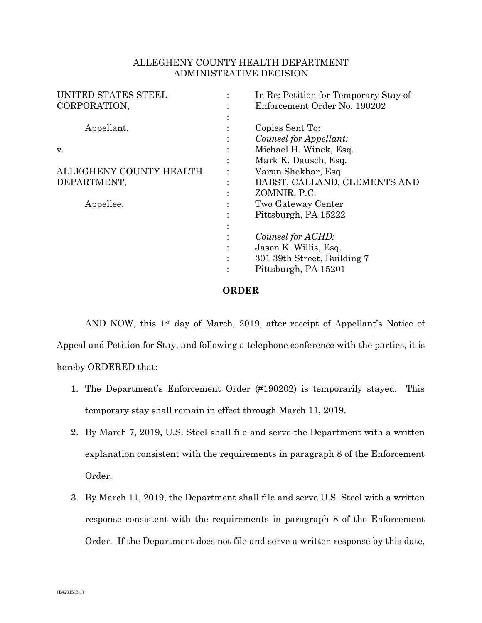## ALLEGHENY COUNTY HEALTH DEPARTMENT ADMINISTRATIVE DECISION

| UNITED STATES STEEL     |           | In Re: Petition for Temporary Stay of |
|-------------------------|-----------|---------------------------------------|
| CORPORATION,            |           | Enforcement Order No. 190202          |
|                         |           |                                       |
| Appellant,              |           | Copies Sent To:                       |
|                         |           | Counsel for Appellant:                |
| v.                      |           | Michael H. Winek, Esq.                |
|                         | $\bullet$ | Mark K. Dausch, Esq.                  |
| ALLEGHENY COUNTY HEALTH |           | Varun Shekhar, Esq.                   |
| DEPARTMENT,             | ٠         | BABST, CALLAND, CLEMENTS AND          |
|                         | ٠         | ZOMNIR, P.C.                          |
| Appellee.               |           | Two Gateway Center                    |
|                         |           | Pittsburgh, PA 15222                  |
|                         |           |                                       |
|                         |           | Counsel for ACHD:                     |
|                         |           | Jason K. Willis, Esq.                 |
|                         |           | 301 39th Street, Building 7           |
|                         |           | Pittsburgh, PA 15201                  |
|                         |           |                                       |

## **ORDER**

AND NOW, this 1st day of March, 2019, after receipt of Appellant's Notice of Appeal and Petition for Stay, and following a telephone conference with the parties, it is hereby ORDERED that:

- 1. The Department's Enforcement Order (#190202) is temporarily stayed. This temporary stay shall remain in effect through March 11, 2019.
- 2. By March 7, 2019, U.S. Steel shall file and serve the Department with a written explanation consistent with the requirements in paragraph 8 of the Enforcement Order.
- 3. By March 11, 2019, the Department shall file and serve U.S. Steel with a written response consistent with the requirements in paragraph 8 of the Enforcement Order. If the Department does not file and serve a written response by this date,